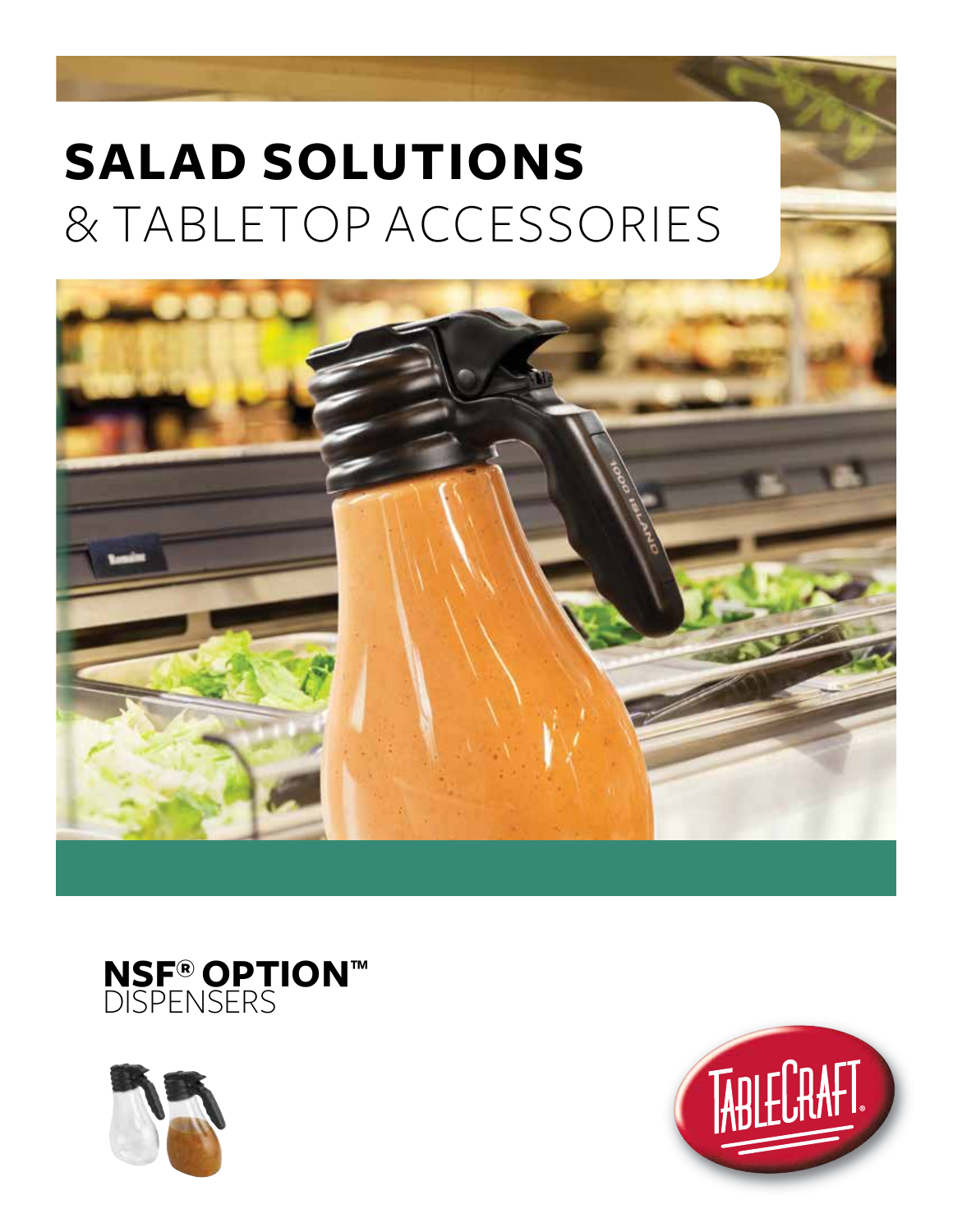





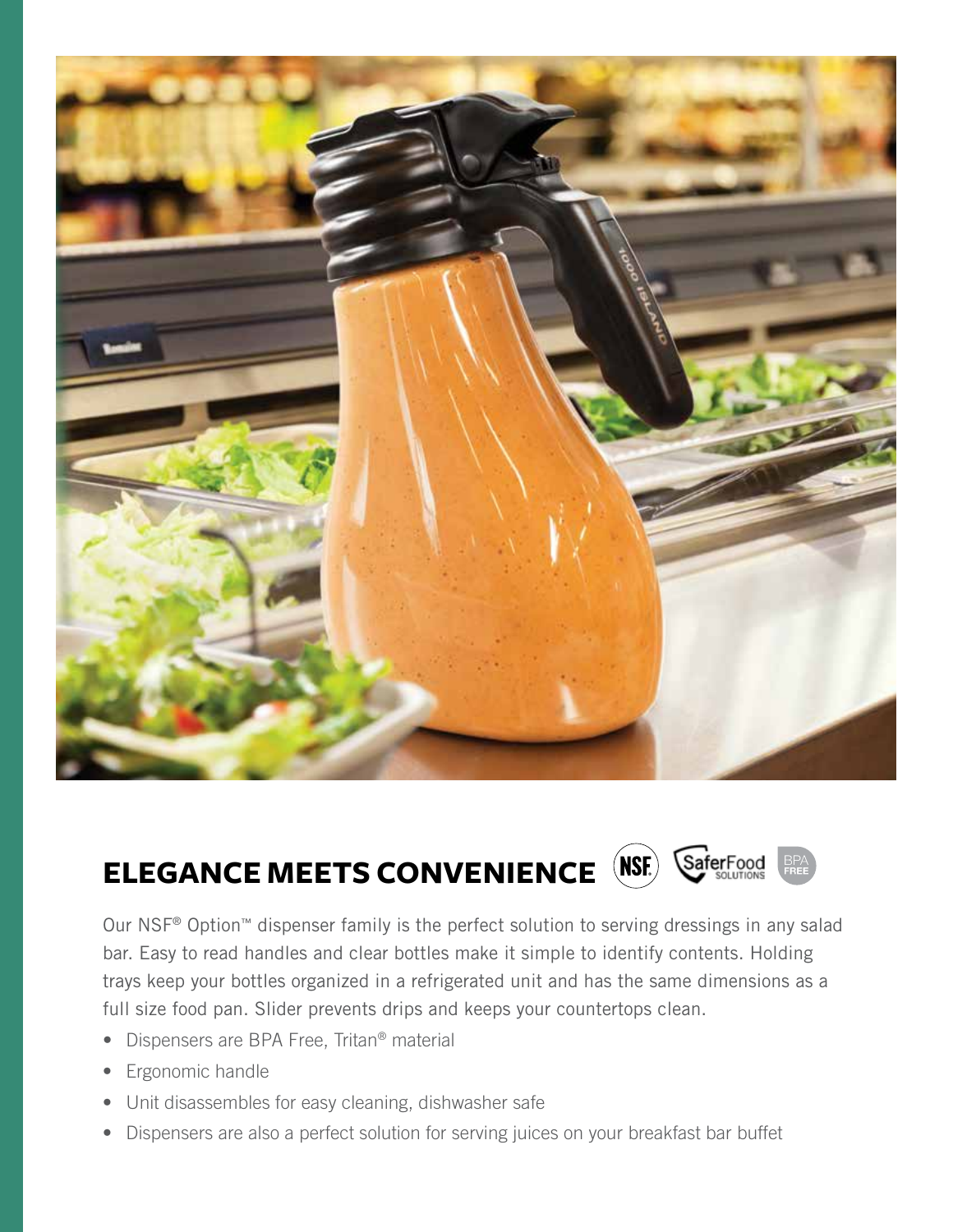

## **ELEGANCE MEETS CONVENIENCE** SaferFood

Our NSF® Option™ dispenser family is the perfect solution to serving dressings in any salad bar. Easy to read handles and clear bottles make it simple to identify contents. Holding trays keep your bottles organized in a refrigerated unit and has the same dimensions as a full size food pan. Slider prevents drips and keeps your countertops clean.

- Dispensers are BPA Free, Tritan® material
- Ergonomic handle
- Unit disassembles for easy cleaning, dishwasher safe
- Dispensers are also a perfect solution for serving juices on your breakfast bar buffet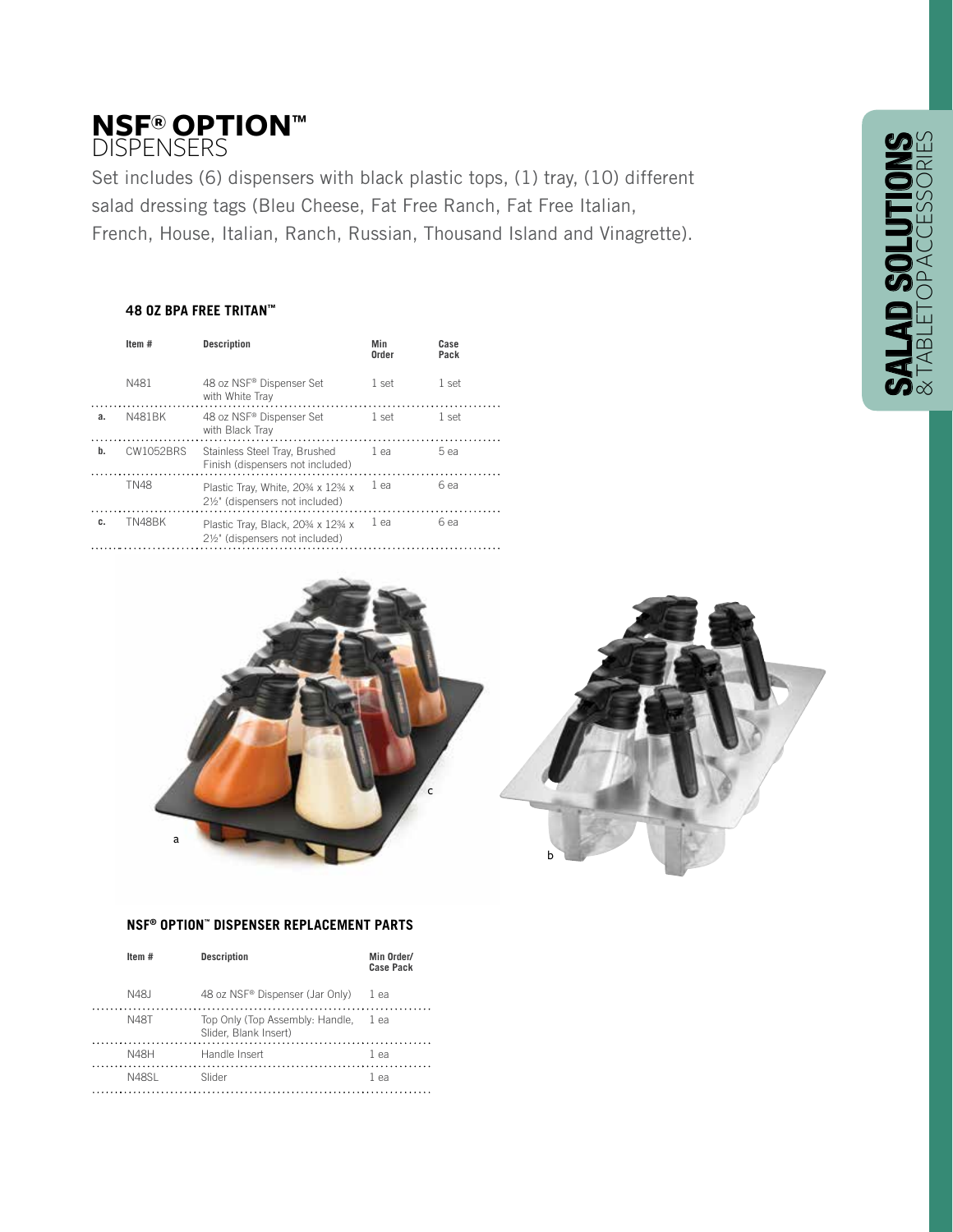# **NSF® OPTION™ DISPENSERS**

Set includes (6) dispensers with black plastic tops, (1) tray, (10) different salad dressing tags (Bleu Cheese, Fat Free Ranch, Fat Free Italian, French, House, Italian, Ranch, Russian, Thousand Island and Vinagrette).

## **48 OZ BPA FREE TRITAN™**

|    | Item#       | <b>Description</b>                                                | Min<br>Order | Case<br>Pack |
|----|-------------|-------------------------------------------------------------------|--------------|--------------|
|    | N481        | 48 oz NSF® Dispenser Set<br>with White Tray                       | 1 set        | 1 set        |
| a. | N481BK      | 48 oz NSF® Dispenser Set<br>with Black Tray                       | 1 set        | 1 set        |
| b. | CW1052BRS   | Stainless Steel Tray, Brushed<br>Finish (dispensers not included) | 1 ea         | 5 ea         |
|    | <b>TN48</b> | Plastic Tray, White, 20% x 12% x<br>2½" (dispensers not included) | 1 ea         | 6 ea         |
| c. | TN48BK      | Plastic Tray, Black, 20% x 12% x<br>2½" (dispensers not included) | 1 ea         | 6 ea         |



#### **NSF® OPTION™ DISPENSER REPLACEMENT PARTS**

| Item#       | <b>Description</b>                                       | Min Order/<br>Case Pack |
|-------------|----------------------------------------------------------|-------------------------|
| N48.I       | 48 oz NSF <sup>®</sup> Dispenser (Jar Only)              | 1 ea                    |
| <b>N48T</b> | Top Only (Top Assembly: Handle,<br>Slider, Blank Insert) | 1 ea                    |
| <b>N48H</b> | Handle Insert                                            | 1 ea                    |
| N48SI       | Slider                                                   | 1 ea                    |